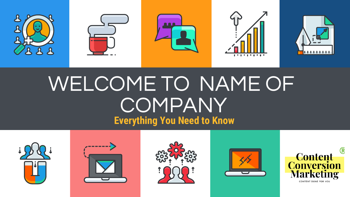

# WELCOME TO NAME OF **COMPANY Everything You Need to Know**









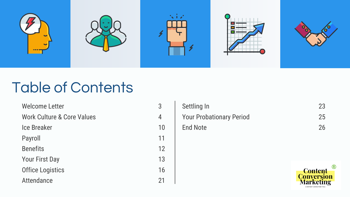

#### Table of Contents

| <b>Welcome Letter</b>                 | 3  |
|---------------------------------------|----|
| <b>Work Culture &amp; Core Values</b> | 4  |
| <b>Ice Breaker</b>                    | 10 |
| Payroll                               | 11 |
| <b>Benefits</b>                       | 12 |
| <b>Your First Day</b>                 | 13 |
| <b>Office Logistics</b>               | 16 |
| Attendance                            | 21 |

| Settling In                     | 23 |
|---------------------------------|----|
| <b>Your Probationary Period</b> | 25 |
| End Note                        | 26 |

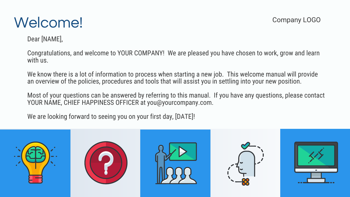#### Welcome!

Dear [NAME],

Congratulations, and welcome to YOUR COMPANY! We are pleased you have chosen to work, grow and learn with us.

We know there is a lot of information to process when starting a new job. This welcome manual will provide an overview of the policies, procedures and tools that will assist you in settling into your new position.

Most of your questions can be answered by referring to this manual. If you have any questions, please contact YOUR NAME, CHIEF HAPPINESS OFFICER at you@yourcompany.com.

We are looking forward to seeing you on your first day, [DATE]!

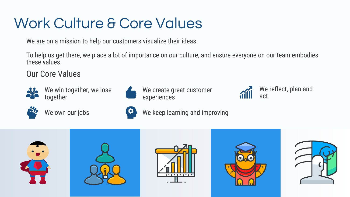## Work Culture & Core Values

We are on a mission to help our customers visualize their ideas.

To help us get there, we place a lot of importance on our culture, and ensure everyone on our team embodies these values.

Our Core Values



We win together, we lose together



We own our jobs



We create great customer experiences



We reflect, plan and act





We keep learning and improving

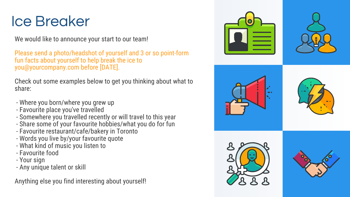#### Ice Breaker

We would like to announce your start to our team!

Please send a photo/headshot of yourself and 3 or so point-form fun facts about yourself to help break the ice to you@yourcompany.com before [DATE].

Check out some examples below to get you thinking about what to share:

- Where you born/where you grew up
- Favourite place you've travelled
- Somewhere you travelled recently or will travel to this year
- Share some of your favourite hobbies/what you do for fun
- Favourite restaurant/cafe/bakery in Toronto
- Words you live by/your favourite quote
- What kind of music you listen to
- Favourite food
- Your sign
- Any unique talent or skill

Anything else you find interesting about yourself!

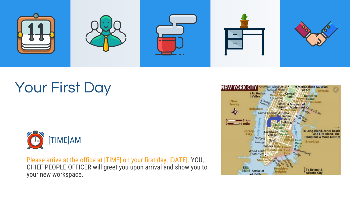

## Your First Day



Please arrive at the office at [TIME] on your first day, [DATE]. YOU, CHIEF PEOPLE OFFICER will greet you upon arrival and show you to your new workspace.

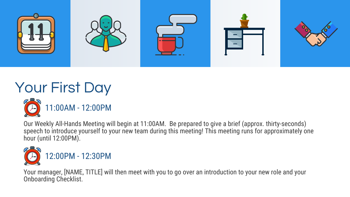

## Your First Day



Our Weekly All-Hands Meeting will begin at 11:00AM. Be prepared to give a brief (approx. thirty-seconds) speech to introduce yourself to your new team during this meeting! This meeting runs for approximately one hour (until 12:00PM).



Your manager, [NAME, TITLE] will then meet with you to go over an introduction to your new role and your Onboarding Checklist.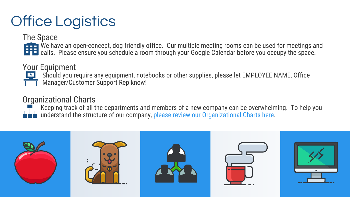## Office Logistics

The Space

We have an open-concept, dog friendly office. Our multiple meeting rooms can be used for meetings and calls. Please ensure you schedule a room through your Google Calendar before you occupy the space.

#### Your Equipment

Should you require any equipment, notebooks or other supplies, please let EMPLOYEE NAME, Office Manager/Customer Support Rep know!

#### Organizational Charts

Keeping track of all the departments and members of a new company can be overwhelming. To help you understand the structure of our company, please review our Organizational Charts here.

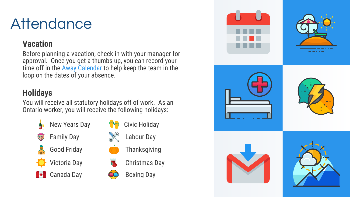#### **Attendance**

#### **Vacation**

Before planning a vacation, check in with your manager for approval. Once you get a thumbs up, you can record your time off in the Away Calendar to help keep the team in the loop on the dates of your absence.

#### **Holidays**

You will receive all statutory holidays off of work. As an Ontario worker, you will receive the following holidays:







**Thanksgiving** 



Boxing Day

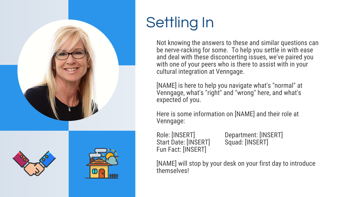

## Settling In

Not knowing the answers to these and similar questions can be nerve-racking for some. To help you settle in with ease and deal with these disconcerting issues, we've paired you with one of your peers who is there to assist with in your cultural integration at Venngage.

[NAME] is here to help you navigate what's "normal" at Venngage, what's "right" and "wrong" here, and what's expected of you.

Here is some information on [NAME] and their role at Venngage:

Start Date: [INSERT] Fun Fact: [INSERT]

Role: [INSERT] Department: [INSERT]<br>Start Date: [INSERT] Squad: [INSERT]

[NAME] will stop by your desk on your first day to introduce themselves!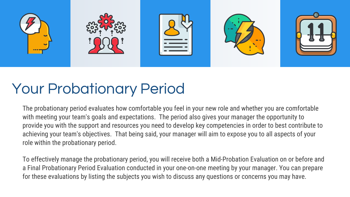

## Your Probationary Period

The probationary period evaluates how comfortable you feel in your new role and whether you are comfortable with meeting your team's goals and expectations. The period also gives your manager the opportunity to provide you with the support and resources you need to develop key competencies in order to best contribute to achieving your team's objectives. That being said, your manager will aim to expose you to all aspects of your role within the probationary period.

To effectively manage the probationary period, you will receive both a Mid-Probation Evaluation on or before and a Final Probationary Period Evaluation conducted in your one-on-one meeting by your manager. You can prepare for these evaluations by listing the subjects you wish to discuss any questions or concerns you may have.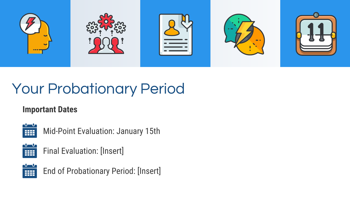

## Your Probationary Period

#### **Important Dates**



Mid-Point Evaluation: January 15th



Final Evaluation: [Insert]



End of Probationary Period: [Insert]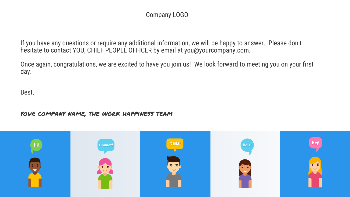#### Company LOGO

If you have any questions or require any additional information, we will be happy to answer. Please don't hesitate to contact YOU, CHIEF PEOPLE OFFICER by email at you@yourcompany.com.

Once again, congratulations, we are excited to have you join us! We look forward to meeting you on your first day.

Best,

#### your company name, the work happiness team